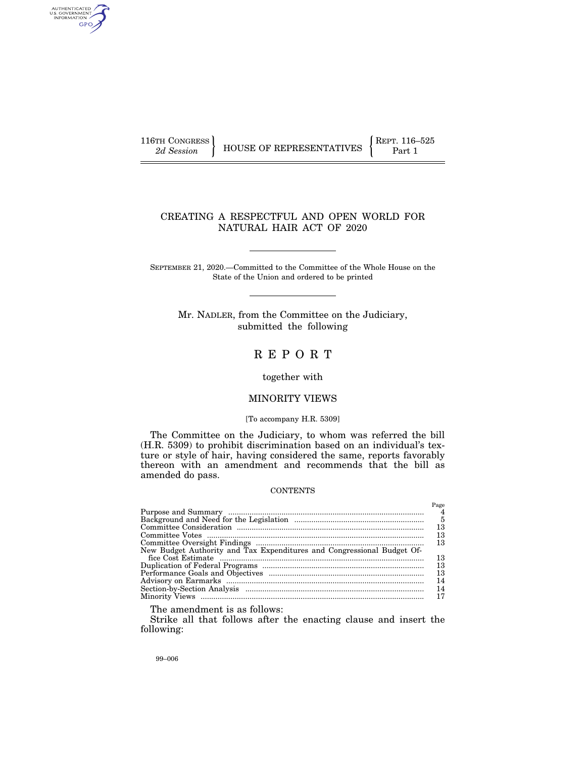AUTHENTICATED<br>U.S. GOVERNMENT<br>INFORMATION GPO

# CREATING A RESPECTFUL AND OPEN WORLD FOR NATURAL HAIR ACT OF 2020

SEPTEMBER 21, 2020.—Committed to the Committee of the Whole House on the State of the Union and ordered to be printed

Mr. NADLER, from the Committee on the Judiciary, submitted the following

# R E P O R T

### together with

# MINORITY VIEWS

#### [To accompany H.R. 5309]

The Committee on the Judiciary, to whom was referred the bill (H.R. 5309) to prohibit discrimination based on an individual's texture or style of hair, having considered the same, reports favorably thereon with an amendment and recommends that the bill as amended do pass.

# **CONTENTS**

| New Budget Authority and Tax Expenditures and Congressional Budget Of- | Page<br>4<br>- 5<br>13<br>13<br>13<br>13 |
|------------------------------------------------------------------------|------------------------------------------|
|                                                                        |                                          |
|                                                                        |                                          |
|                                                                        | 13                                       |
|                                                                        | 13                                       |
|                                                                        | 14                                       |
|                                                                        | 14                                       |
|                                                                        | 17                                       |
|                                                                        |                                          |

The amendment is as follows:

Strike all that follows after the enacting clause and insert the following: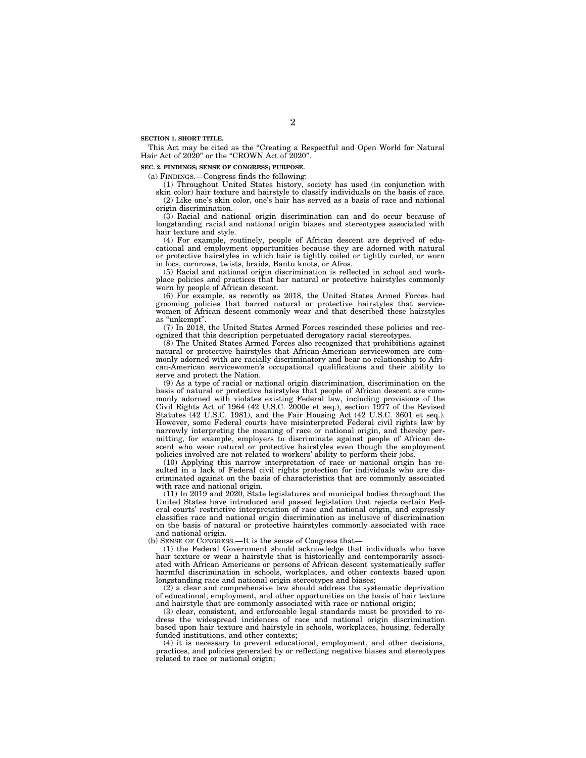**SECTION 1. SHORT TITLE.** 

This Act may be cited as the "Creating a Respectful and Open World for Natural Hair Act of 2020" or the "CROWN Act of 2020".

#### **SEC. 2. FINDINGS; SENSE OF CONGRESS; PURPOSE.**

(a) FINDINGS.—Congress finds the following:

(1) Throughout United States history, society has used (in conjunction with

skin color) hair texture and hairstyle to classify individuals on the basis of race. (2) Like one's skin color, one's hair has served as a basis of race and national origin discrimination.

(3) Racial and national origin discrimination can and do occur because of longstanding racial and national origin biases and stereotypes associated with hair texture and style.

(4) For example, routinely, people of African descent are deprived of educational and employment opportunities because they are adorned with natural or protective hairstyles in which hair is tightly coiled or tightly curled, or worn in locs, cornrows, twists, braids, Bantu knots, or Afros.

(5) Racial and national origin discrimination is reflected in school and workplace policies and practices that bar natural or protective hairstyles commonly worn by people of African descent.

(6) For example, as recently as 2018, the United States Armed Forces had grooming policies that barred natural or protective hairstyles that servicewomen of African descent commonly wear and that described these hairstyles as ''unkempt''.

(7) In 2018, the United States Armed Forces rescinded these policies and recognized that this description perpetuated derogatory racial stereotypes.

(8) The United States Armed Forces also recognized that prohibitions against natural or protective hairstyles that African-American servicewomen are commonly adorned with are racially discriminatory and bear no relationship to African-American servicewomen's occupational qualifications and their ability to serve and protect the Nation.

(9) As a type of racial or national origin discrimination, discrimination on the basis of natural or protective hairstyles that people of African descent are commonly adorned with violates existing Federal law, including provisions of the Civil Rights Act of 1964 (42 U.S.C. 2000e et seq.), section 1977 of the Revised Statutes (42 U.S.C. 1981), and the Fair Housing Act (42 U.S.C. 3601 et seq.). However, some Federal courts have misinterpreted Federal civil rights law by narrowly interpreting the meaning of race or national origin, and thereby permitting, for example, employers to discriminate against people of African descent who wear natural or protective hairstyles even though the employment policies involved are not related to workers' ability to perform their jobs.

(10) Applying this narrow interpretation of race or national origin has resulted in a lack of Federal civil rights protection for individuals who are discriminated against on the basis of characteristics that are commonly associated with race and national origin.

(11) In 2019 and 2020, State legislatures and municipal bodies throughout the United States have introduced and passed legislation that rejects certain Federal courts' restrictive interpretation of race and national origin, and expressly classifies race and national origin discrimination as inclusive of discrimination on the basis of natural or protective hairstyles commonly associated with race and national origin.

(b) SENSE OF CONGRESS.—It is the sense of Congress that—

(1) the Federal Government should acknowledge that individuals who have hair texture or wear a hairstyle that is historically and contemporarily associated with African Americans or persons of African descent systematically suffer harmful discrimination in schools, workplaces, and other contexts based upon longstanding race and national origin stereotypes and biases;

(2) a clear and comprehensive law should address the systematic deprivation of educational, employment, and other opportunities on the basis of hair texture and hairstyle that are commonly associated with race or national origin;

(3) clear, consistent, and enforceable legal standards must be provided to redress the widespread incidences of race and national origin discrimination based upon hair texture and hairstyle in schools, workplaces, housing, federally funded institutions, and other contexts;

(4) it is necessary to prevent educational, employment, and other decisions, practices, and policies generated by or reflecting negative biases and stereotypes related to race or national origin;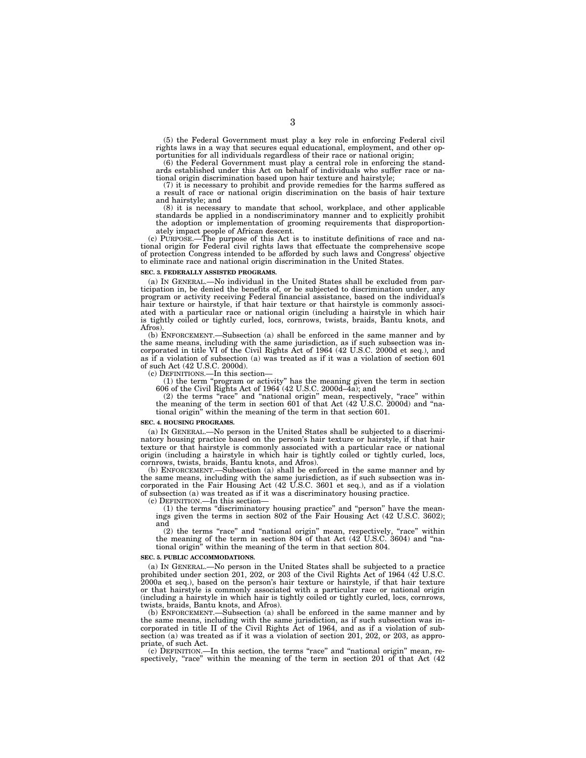(5) the Federal Government must play a key role in enforcing Federal civil rights laws in a way that secures equal educational, employment, and other opportunities for all individuals regardless of their race or national origin;

(6) the Federal Government must play a central role in enforcing the stand-ards established under this Act on behalf of individuals who suffer race or national origin discrimination based upon hair texture and hairstyle;

(7) it is necessary to prohibit and provide remedies for the harms suffered as a result of race or national origin discrimination on the basis of hair texture and hairstyle; and

(8) it is necessary to mandate that school, workplace, and other applicable standards be applied in a nondiscriminatory manner and to explicitly prohibit the adoption or implementation of grooming requirements that disproportionately impact people of African descent.

(c) PURPOSE.—The purpose of this Act is to institute definitions of race and national origin for Federal civil rights laws that effectuate the comprehensive scope of protection Congress intended to be afforded by such laws and Congress' objective to eliminate race and national origin discrimination in the United States.

#### **SEC. 3. FEDERALLY ASSISTED PROGRAMS.**

(a) IN GENERAL.—No individual in the United States shall be excluded from participation in, be denied the benefits of, or be subjected to discrimination under, any program or activity receiving Federal financial assistance, based on the individual's hair texture or hairstyle, if that hair texture or that hairstyle is commonly associated with a particular race or national origin (including a hairstyle in which hair is tightly coiled or tightly curled, locs, cornrows, twists, braids, Bantu knots, and Afros).

(b) ENFORCEMENT.—Subsection (a) shall be enforced in the same manner and by the same means, including with the same jurisdiction, as if such subsection was incorporated in title VI of the Civil Rights Act of 1964 (42 U.S.C. 2000d et seq.), and as if a violation of subsection (a) was treated as if it was a violation of section 601 of such Act (42 U.S.C. 2000d).

(c) DEFINITIONS.—In this section—

(1) the term ''program or activity'' has the meaning given the term in section 606 of the Civil Rights Act of 1964 (42 U.S.C. 2000d–4a); and

(2) the terms ''race'' and ''national origin'' mean, respectively, ''race'' within the meaning of the term in section 601 of that Act (42 U.S.C. 2000d) and ''national origin'' within the meaning of the term in that section 601.

#### **SEC. 4. HOUSING PROGRAMS.**

(a) IN GENERAL.—No person in the United States shall be subjected to a discriminatory housing practice based on the person's hair texture or hairstyle, if that hair texture or that hairstyle is commonly associated with a particular race or national origin (including a hairstyle in which hair is tightly coiled or tightly curled, locs, cornrows, twists, braids, Bantu knots, and Afros).

(b) ENFORCEMENT.—Subsection (a) shall be enforced in the same manner and by the same means, including with the same jurisdiction, as if such subsection was incorporated in the Fair Housing Act (42 U.S.C. 3601 et seq.), and as if a violation of subsection (a) was treated as if it was a discriminatory housing practice.

(c) DEFINITION.—In this section—

(1) the terms ''discriminatory housing practice'' and ''person'' have the meanings given the terms in section 802 of the Fair Housing Act (42 U.S.C. 3602); and

(2) the terms ''race'' and ''national origin'' mean, respectively, ''race'' within the meaning of the term in section 804 of that Act (42 U.S.C. 3604) and ''national origin'' within the meaning of the term in that section 804.

#### **SEC. 5. PUBLIC ACCOMMODATIONS.**

(a) IN GENERAL.—No person in the United States shall be subjected to a practice prohibited under section 201, 202, or 203 of the Civil Rights Act of 1964 (42 U.S.C. 2000a et seq.), based on the person's hair texture or hairstyle, if that hair texture or that hairstyle is commonly associated with a particular race or national origin (including a hairstyle in which hair is tightly coiled or tightly curled, locs, cornrows, twists, braids, Bantu knots, and Afros).

(b) ENFORCEMENT.—Subsection (a) shall be enforced in the same manner and by the same means, including with the same jurisdiction, as if such subsection was incorporated in title II of the Civil Rights Act of 1964, and as if a violation of subsection (a) was treated as if it was a violation of section 201, 202, or 203, as appropriate, of such Act.

(c) DEFINITION.—In this section, the terms ''race'' and ''national origin'' mean, respectively, "race" within the meaning of the term in section 201 of that Act  $(42)$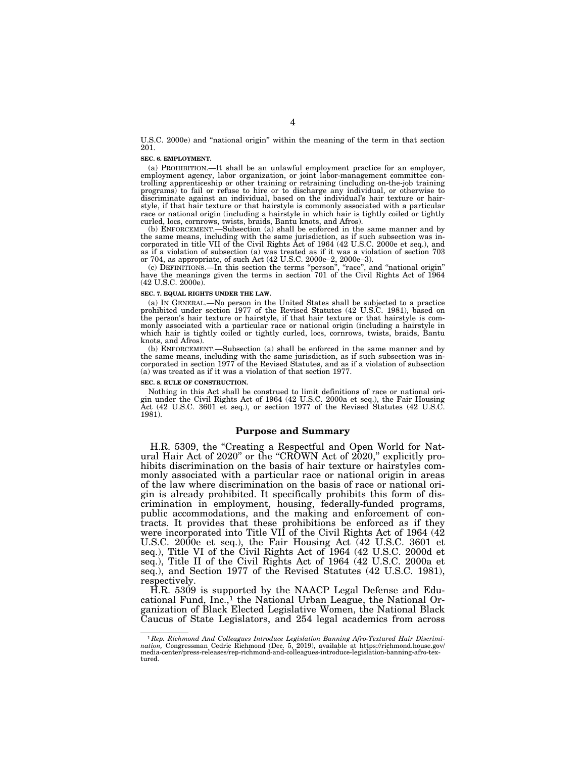U.S.C. 2000e) and ''national origin'' within the meaning of the term in that section 201.

#### **SEC. 6. EMPLOYMENT.**

(a) PROHIBITION.—It shall be an unlawful employment practice for an employer, employment agency, labor organization, or joint labor-management committee controlling apprenticeship or other training or retraining (including on-the-job training programs) to fail or refuse to hire or to discharge any individual, or otherwise to discriminate against an individual, based on the individual's hair texture or hairstyle, if that hair texture or that hairstyle is commonly associated with a particular race or national origin (including a hairstyle in which hair is tightly coiled or tightly curled, locs, cornrows, twists, braids, Bantu knots, and Afros).

(b) ENFORCEMENT.—Subsection (a) shall be enforced in the same manner and by the same means, including with the same jurisdiction, as if such subsection was incorporated in title VII of the Civil Rights Act of 1964 (42 U.S.C. 2000e et seq.), and as if a violation of subsection (a) was treated as if it was a violation of section 703 or 704, as appropriate, of such Act (42 U.S.C. 2000e–2, 2000e–3).

(c) DEFINITIONS.—In this section the terms ''person'', ''race'', and ''national origin'' have the meanings given the terms in section 701 of the Civil Rights Act of 1964 (42 U.S.C. 2000e).

#### **SEC. 7. EQUAL RIGHTS UNDER THE LAW.**

(a) IN GENERAL.—No person in the United States shall be subjected to a practice prohibited under section 1977 of the Revised Statutes (42 U.S.C. 1981), based on the person's hair texture or hairstyle, if that hair texture or that hairstyle is commonly associated with a particular race or national origin (including a hairstyle in which hair is tightly coiled or tightly curled, locs, cornrows, twists, braids, Bantu knots, and Afros).

(b) ENFORCEMENT.—Subsection (a) shall be enforced in the same manner and by the same means, including with the same jurisdiction, as if such subsection was incorporated in section 1977 of the Revised Statutes, and as if a violation of subsection (a) was treated as if it was a violation of that section 1977.

#### **SEC. 8. RULE OF CONSTRUCTION.**

Nothing in this Act shall be construed to limit definitions of race or national origin under the Civil Rights Act of 1964 (42 U.S.C. 2000a et seq.), the Fair Housing Act (42 U.S.C. 3601 et seq.), or section 1977 of the Revised Statutes (42 U.S.C. 1981).

### **Purpose and Summary**

H.R. 5309, the "Creating a Respectful and Open World for Natural Hair Act of 2020" or the "CROWN Act of 2020," explicitly prohibits discrimination on the basis of hair texture or hairstyles commonly associated with a particular race or national origin in areas of the law where discrimination on the basis of race or national origin is already prohibited. It specifically prohibits this form of discrimination in employment, housing, federally-funded programs, public accommodations, and the making and enforcement of contracts. It provides that these prohibitions be enforced as if they were incorporated into Title VII of the Civil Rights Act of 1964 (42 U.S.C. 2000e et seq.), the Fair Housing Act (42 U.S.C. 3601 et seq.), Title VI of the Civil Rights Act of 1964 (42 U.S.C. 2000d et seq.), Title II of the Civil Rights Act of 1964 (42 U.S.C. 2000a et seq.), and Section 1977 of the Revised Statutes (42 U.S.C. 1981), respectively.

H.R. 5309 is supported by the NAACP Legal Defense and Educational Fund,  $Inc.^1$  the National Urban League, the National Organization of Black Elected Legislative Women, the National Black Caucus of State Legislators, and 254 legal academics from across

<sup>1</sup> *Rep. Richmond And Colleagues Introduce Legislation Banning Afro-Textured Hair Discrimination,* Congressman Cedric Richmond (Dec. 5, 2019), available at https://richmond.house.gov/ media-center/press-releases/rep-richmond-and-colleagues-introduce-legislation-banning-afro-textured.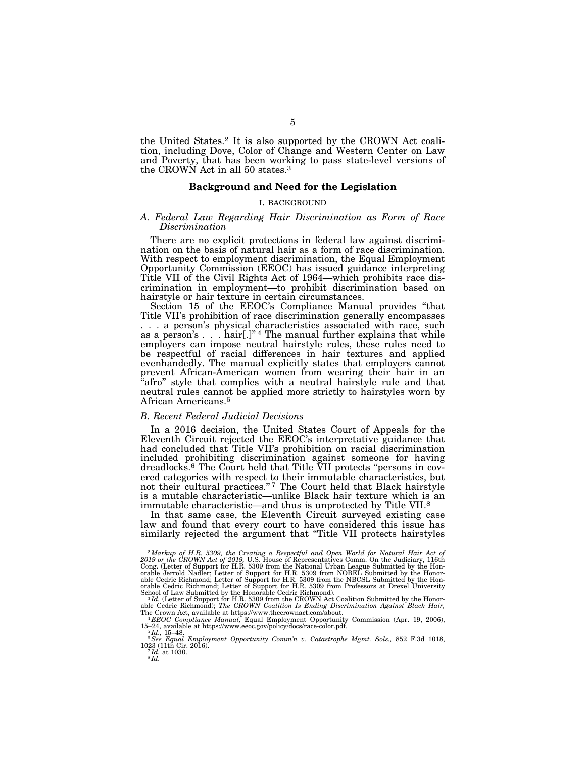the United States.2 It is also supported by the CROWN Act coalition, including Dove, Color of Change and Western Center on Law and Poverty, that has been working to pass state-level versions of the CROWN Act in all 50 states.3

# **Background and Need for the Legislation**

#### I. BACKGROUND

#### *A. Federal Law Regarding Hair Discrimination as Form of Race Discrimination*

There are no explicit protections in federal law against discrimination on the basis of natural hair as a form of race discrimination. With respect to employment discrimination, the Equal Employment Opportunity Commission (EEOC) has issued guidance interpreting Title VII of the Civil Rights Act of 1964—which prohibits race discrimination in employment—to prohibit discrimination based on hairstyle or hair texture in certain circumstances.

Section 15 of the EEOC's Compliance Manual provides "that Title VII's prohibition of race discrimination generally encompasses . . . a person's physical characteristics associated with race, such as a person's  $\ldots$ . hair[.]"<sup>4</sup> The manual further explains that while employers can impose neutral hairstyle rules, these rules need to be respectful of racial differences in hair textures and applied evenhandedly. The manual explicitly states that employers cannot prevent African-American women from wearing their hair in an afro" style that complies with a neutral hairstyle rule and that neutral rules cannot be applied more strictly to hairstyles worn by African Americans.5

#### *B. Recent Federal Judicial Decisions*

In a 2016 decision, the United States Court of Appeals for the Eleventh Circuit rejected the EEOC's interpretative guidance that had concluded that Title VII's prohibition on racial discrimination included prohibiting discrimination against someone for having dreadlocks.<sup>6</sup> The Court held that Title VII protects "persons in covered categories with respect to their immutable characteristics, but not their cultural practices."<sup>7</sup> The Court held that Black hairstyle is a mutable characteristic—unlike Black hair texture which is an immutable characteristic—and thus is unprotected by Title VII.8

In that same case, the Eleventh Circuit surveyed existing case law and found that every court to have considered this issue has similarly rejected the argument that "Title VII protects hairstyles

<sup>&</sup>lt;sup>2</sup>Markup of H.R. 5309, the Creating a Respectful and Open World for Natural Hair Act of 2019 or the CROWN Act of 2019, U.S. House of Representatives Comm. On the Judiciary, 116th Cong. (Letter of Support for H.R. 5309 fr orable Jerrold Nadler; Letter of Support for H.R. 5309 from NOBEL Submitted by the Honorable Cedric Richmond; Letter of Support for H.R. 5309 from the NBCSL Submitted by the Honorable Cedric Richmond; Letter of Support for

able Cedric Richmond); *The CROWN Coalition Is Ending Discrimination Against Black Hair,*<br>The Crown Act, available at https://www.thecrownact.com/about.<br><sup>- 4</sup> EEOC Compliance Manual, Equal Employment Opportunity Commission

<sup>15–24,</sup> available at https://www.eeoc.gov/policy/docs/race-color.pdf. 5 *Id.,* 15–48. 6*See Equal Employment Opportunity Comm'n v. Catastrophe Mgmt. Sols.,* 852 F.3d 1018,

<sup>1023 (11</sup>th Cir. 2016). 7 *Id.* at 1030. 8 *Id.*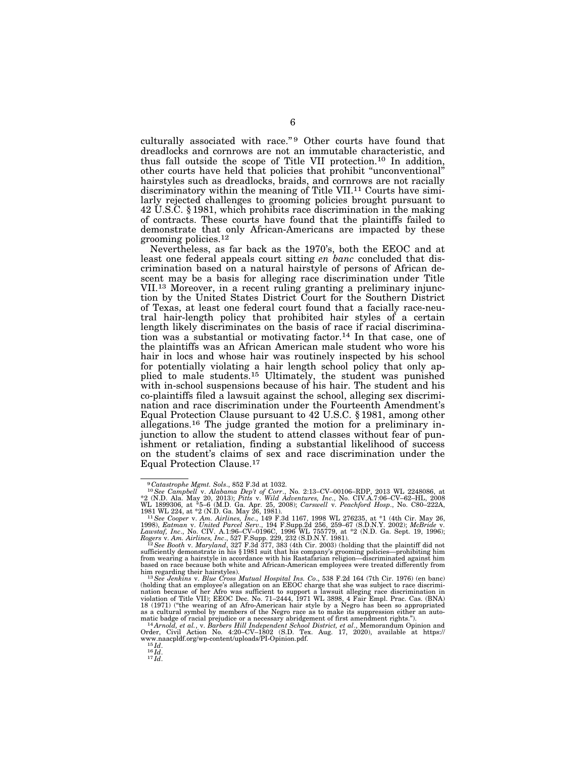culturally associated with race."<sup>9</sup> Other courts have found that dreadlocks and cornrows are not an immutable characteristic, and thus fall outside the scope of Title VII protection.10 In addition, other courts have held that policies that prohibit ''unconventional'' hairstyles such as dreadlocks, braids, and cornrows are not racially discriminatory within the meaning of Title VII.<sup>11</sup> Courts have similarly rejected challenges to grooming policies brought pursuant to 42 U.S.C. § 1981, which prohibits race discrimination in the making of contracts. These courts have found that the plaintiffs failed to demonstrate that only African-Americans are impacted by these grooming policies.12

Nevertheless, as far back as the 1970's, both the EEOC and at least one federal appeals court sitting *en banc* concluded that discrimination based on a natural hairstyle of persons of African descent may be a basis for alleging race discrimination under Title VII.13 Moreover, in a recent ruling granting a preliminary injunction by the United States District Court for the Southern District of Texas, at least one federal court found that a facially race-neutral hair-length policy that prohibited hair styles of a certain length likely discriminates on the basis of race if racial discrimination was a substantial or motivating factor.14 In that case, one of the plaintiffs was an African American male student who wore his hair in locs and whose hair was routinely inspected by his school for potentially violating a hair length school policy that only applied to male students.15 Ultimately, the student was punished with in-school suspensions because of his hair. The student and his co-plaintiffs filed a lawsuit against the school, alleging sex discrimination and race discrimination under the Fourteenth Amendment's Equal Protection Clause pursuant to 42 U.S.C. § 1981, among other allegations.16 The judge granted the motion for a preliminary injunction to allow the student to attend classes without fear of punishment or retaliation, finding a substantial likelihood of success on the student's claims of sex and race discrimination under the Equal Protection Clause.17

<sup>&</sup>lt;sup>9</sup>Catastrophe Mgmt. Sols., 852 F.3d at 1032.<br><sup>10</sup>See Campbell v. Alabama Dep't of Corr., No. 2:13–CV–00106–RDP, 2013 WL 2248086, at  $*2$  (N.D. Ala. May 20, 2013); Pitts v. Wild Adventures, Inc., No. CIV.A.7:06–CV–62–HL,

<sup>1998),</sup> *Eatman v. United Parcel Serv.*, 194 F.Supp.2d 256, 259–67 (S.D.N.Y. 2002); *McBride v.*<br>*Lawstaf, Inc.*, No. CIV. A.1:96–CV–0196C, 1996 WL 755779, at \*2 (N.D. Ga. Sept. 19, 1996);<br>*Rogers v. Am. Airlines, Inc.*, 52

sufficiently demonstrate in his § 1981 suit that his company's grooming policies—prohibiting him from wearing a hairstyle in accordance with his Rastafarian religion—discriminated against him based on race because both white and African-American employees were treated differently from him regarding their hairstyles). 13*See Jenkins* v. *Blue Cross Mutual Hospital Ins. Co*., 538 F.2d 164 (7th Cir. 1976) (en banc)

<sup>(</sup>holding that an employee's allegation on an EEOC charge that she was subject to race discrimi-<br>nation because of her Afro was sufficient to support a lawsuit alleging race discrimination in<br>violation of Title VII); EEOC D 18 (1971) (''the wearing of an Afro-American hair style by a Negro has been so appropriated as a cultural symbol by members of the Negro race as to make its suppression either an auto-<br>matic badge of racial prejudice or a necessary abridgement of first amendment rights.").

matic badge of racial prejudice or a necessary abridgement of first amendment rights.").<br>  ${}^{14}Armodd$ , et al., w. Barbers Hill Independent School District, et al., Memorandum Opinion and<br>
Order, Civil Action No. 4:20-CV-18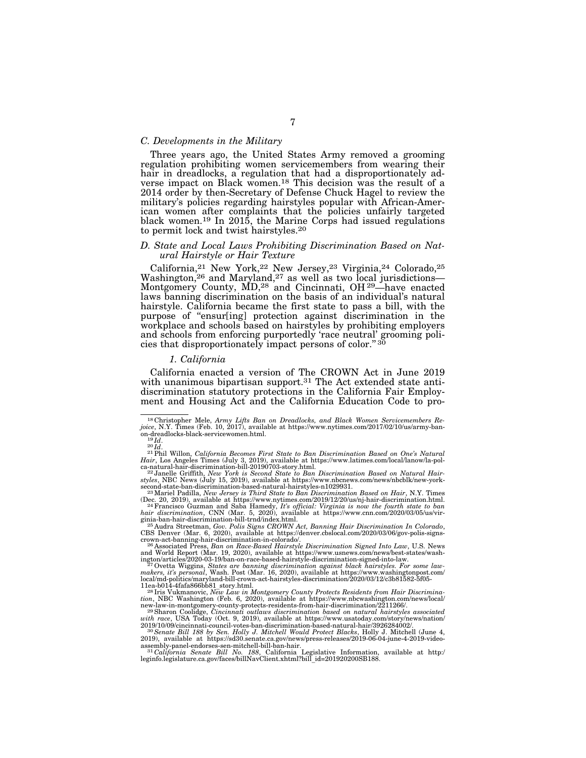# *C. Developments in the Military*

Three years ago, the United States Army removed a grooming regulation prohibiting women servicemembers from wearing their hair in dreadlocks, a regulation that had a disproportionately adverse impact on Black women.18 This decision was the result of a 2014 order by then-Secretary of Defense Chuck Hagel to review the military's policies regarding hairstyles popular with African-American women after complaints that the policies unfairly targeted black women.<sup>19</sup> In 2015, the Marine Corps had issued regulations to permit lock and twist hairstyles.20

#### *D. State and Local Laws Prohibiting Discrimination Based on Natural Hairstyle or Hair Texture*

California,21 New York,22 New Jersey,23 Virginia,24 Colorado,25 Washington,<sup>26</sup> and Maryland,<sup>27</sup> as well as two local jurisdictions— Montgomery County, MD,<sup>28</sup> and Cincinnati, OH<sup>29</sup>—have enacted laws banning discrimination on the basis of an individual's natural hairstyle. California became the first state to pass a bill, with the purpose of ''ensur[ing] protection against discrimination in the workplace and schools based on hairstyles by prohibiting employers and schools from enforcing purportedly 'race neutral' grooming policies that disproportionately impact persons of color."<sup>30</sup>

### *1. California*

California enacted a version of The CROWN Act in June 2019 with unanimous bipartisan support.<sup>31</sup> The Act extended state antidiscrimination statutory protections in the California Fair Employment and Housing Act and the California Education Code to pro-

crown-act-banning-hair-discrimination-in-colorado/<br>
<sup>26</sup> Associated Press, *Ban on Race-Based Hairstyle Discrimination Signed Into Law*, U.S. News<br>
<sup>26</sup> Associated Press, *Ban on Race-Based Hairstyle-discrimination-signed* 

11ea-b014-4fafa866bb81\_story.html.<br><sup>28</sup> Iris Vukmanovic, *New Law in Montgomery County Protects Residents from Hair Discrimina-<br>tion, NBC Washington (Feb. 6, 2020), available at https://www.nbcwashington.com/news/local/<br>n* 

*with race*, USA Today (Oct. 9, 2019), available at https://www.usatoday.com/story/news/nation/

2019/10/09/cincinnati-council-votes-ban-discrimination-based-natural-hair/3926284002/. 30*Senate Bill 188 by Sen. Holly J. Mitchell Would Protect Blacks*, Holly J. Mitchell (June 4, 2019), available at https://sd30.senate.ca.gov/news/press-releases/2019-06-04-june-4-2019-video-

assembly-panel-endorses-sen-mitchell-bill-ban-hair.<br><sup>31</sup>*California Senate Bill No. 188*, California Legislative Information, available at http:/<br>leginfo.legislature.ca.gov/faces/billNavClient.xhtml?bill\_id=201920200SB188.

<sup>18</sup> Christopher Mele, *Army Lifts Ban on Dreadlocks, and Black Women Servicemembers Re-joice*, N.Y. Times (Feb. 10, 2017), available at https://www.nytimes.com/2017/02/10/us/army-ban-

on-dreadlocks-black-servicewomen.html.<br>
<sup>19</sup>Id.<br><sup>20</sup>Id. <sup>21</sup>Nillon, *California Becomes First State to Ban Discrimination Based on One's Natural*<br>
<sup>21</sup>Phil Willon, *California Becomes First State to Ban Discrimination Bas* 

ca-natural-hair-discrimination-bill-20190703-story.html.<br><sup>223</sup> Janelle Griffith, *New York is Second State to Ban Discrimination Based on Natural Hair-<br>styles, NBC News (July 15, 2019), available at https://www.nbcnews.com* second-state-ban-discrimination-based-natural-hairstyles-n1029931. 23Mariel Padilla, *New Jersey is Third State to Ban Discrimination Based on Hair*, N.Y. Times

<sup>(</sup>Dec. 20, 2019), available at https://www.nytimes.com/2019/12/20/us/nj-hair-discrimination.html.<br><sup>24</sup>Francisco Guzman and Saba Hamedy, *It's official*: Virginia is now the fourth state to ban<br>hair discrimination, CNN (Mar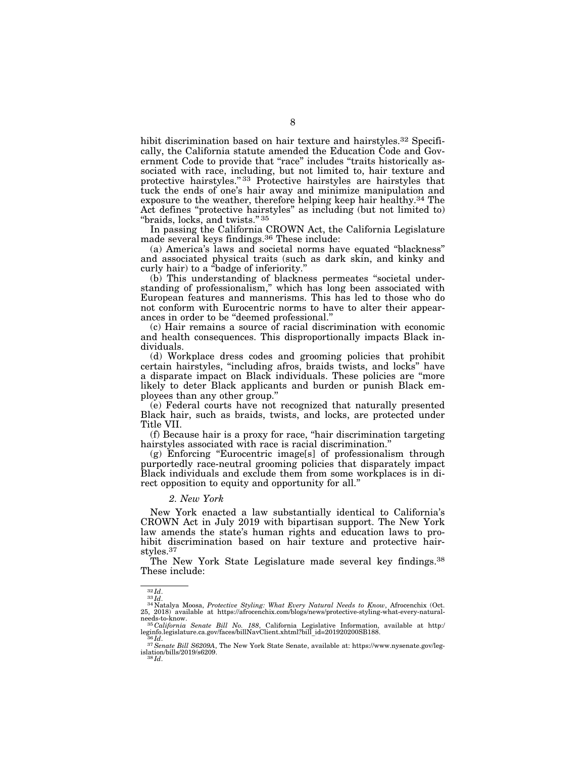hibit discrimination based on hair texture and hairstyles.<sup>32</sup> Specifically, the California statute amended the Education Code and Government Code to provide that "race" includes "traits historically associated with race, including, but not limited to, hair texture and protective hairstyles." 33 Protective hairstyles are hairstyles that tuck the ends of one's hair away and minimize manipulation and exposure to the weather, therefore helping keep hair healthy.34 The Act defines ''protective hairstyles'' as including (but not limited to) "braids, locks, and twists."<sup>35</sup>

In passing the California CROWN Act, the California Legislature made several keys findings.36 These include:

(a) America's laws and societal norms have equated ''blackness'' and associated physical traits (such as dark skin, and kinky and curly hair) to a ''badge of inferiority.''

(b) This understanding of blackness permeates ''societal understanding of professionalism,'' which has long been associated with European features and mannerisms. This has led to those who do not conform with Eurocentric norms to have to alter their appearances in order to be ''deemed professional.''

(c) Hair remains a source of racial discrimination with economic and health consequences. This disproportionally impacts Black individuals.

(d) Workplace dress codes and grooming policies that prohibit certain hairstyles, ''including afros, braids twists, and locks'' have a disparate impact on Black individuals. These policies are ''more likely to deter Black applicants and burden or punish Black employees than any other group.''

(e) Federal courts have not recognized that naturally presented Black hair, such as braids, twists, and locks, are protected under Title VII.

(f) Because hair is a proxy for race, ''hair discrimination targeting hairstyles associated with race is racial discrimination.'

(g) Enforcing ''Eurocentric image[s] of professionalism through purportedly race-neutral grooming policies that disparately impact Black individuals and exclude them from some workplaces is in direct opposition to equity and opportunity for all.''

#### *2. New York*

New York enacted a law substantially identical to California's CROWN Act in July 2019 with bipartisan support. The New York law amends the state's human rights and education laws to prohibit discrimination based on hair texture and protective hairstyles.37

The New York State Legislature made several key findings.38 These include:

<sup>&</sup>lt;sup>32</sup>*Id.*<br><sup>33</sup> *Id.*<br>25, 2018) available at https://afrocenchix.com/blogs/news/protective-styling-what-every-natural-<br>25, 2018) available at https://afrocenchix.com/blogs/news/protective-styling-what-every-natural-

needs-to-know.<br>needs-to-know.<br><sup>35</sup>*California Senate Bill No. 188*, California Legislative Information, available at http:/<br>leginfo.legislature.ca.gov/faces/billNavClient.xhtml?bill\_id=201920200SB188.

<sup>&</sup>lt;sup>36</sup>*Id.*<br><sup>37</sup>*Senate Bill S6209A*, The New York State Senate, available at: https://www.nysenate.gov/legislation/bills/2019/s6209. 38 *Id*.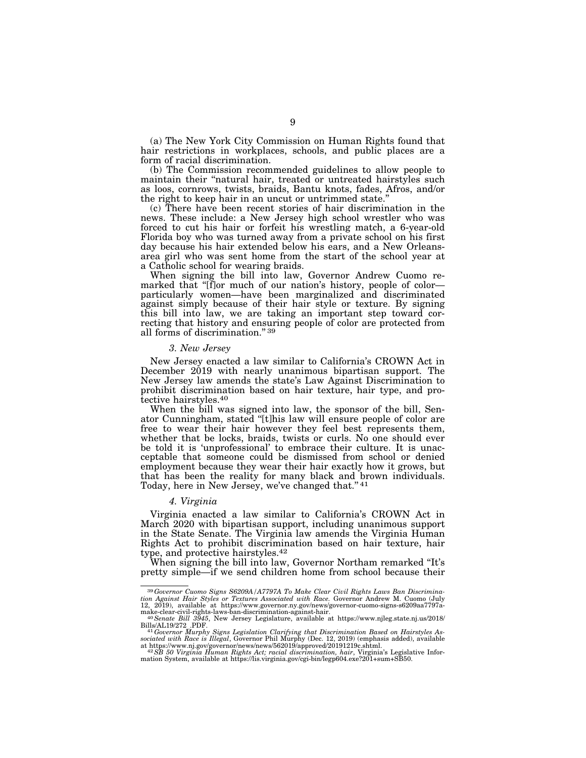(a) The New York City Commission on Human Rights found that hair restrictions in workplaces, schools, and public places are a form of racial discrimination.

(b) The Commission recommended guidelines to allow people to maintain their "natural hair, treated or untreated hairstyles such as loos, cornrows, twists, braids, Bantu knots, fades, Afros, and/or the right to keep hair in an uncut or untrimmed state.''

(c) There have been recent stories of hair discrimination in the news. These include: a New Jersey high school wrestler who was forced to cut his hair or forfeit his wrestling match, a 6-year-old Florida boy who was turned away from a private school on his first day because his hair extended below his ears, and a New Orleansarea girl who was sent home from the start of the school year at a Catholic school for wearing braids.

When signing the bill into law, Governor Andrew Cuomo remarked that "[f]or much of our nation's history, people of color particularly women—have been marginalized and discriminated against simply because of their hair style or texture. By signing this bill into law, we are taking an important step toward correcting that history and ensuring people of color are protected from all forms of discrimination.'' 39

#### *3. New Jersey*

New Jersey enacted a law similar to California's CROWN Act in December 2019 with nearly unanimous bipartisan support. The New Jersey law amends the state's Law Against Discrimination to prohibit discrimination based on hair texture, hair type, and protective hairstyles.40

When the bill was signed into law, the sponsor of the bill, Senator Cunningham, stated ''[t]his law will ensure people of color are free to wear their hair however they feel best represents them, whether that be locks, braids, twists or curls. No one should ever be told it is 'unprofessional' to embrace their culture. It is unacceptable that someone could be dismissed from school or denied employment because they wear their hair exactly how it grows, but that has been the reality for many black and brown individuals. Today, here in New Jersey, we've changed that.'' 41

#### *4. Virginia*

Virginia enacted a law similar to California's CROWN Act in March 2020 with bipartisan support, including unanimous support in the State Senate. The Virginia law amends the Virginia Human Rights Act to prohibit discrimination based on hair texture, hair type, and protective hairstyles.<sup>42</sup>

When signing the bill into law, Governor Northam remarked "It's pretty simple—if we send children home from school because their

<sup>39</sup>*Governor Cuomo Signs S6209A/A7797A To Make Clear Civil Rights Laws Ban Discrimina-tion Against Hair Styles or Textures Associated with Race.* Governor Andrew M. Cuomo (July 12, 2019), available at https://www.governor.ny.gov/news/governor-cuomo-signs-s6209aa7797a-<br>make-clear-civil-rights-laws-ban-discrimination-against-hair.<br><sup>40</sup>Se*nate Bill 3945*, New Jersey Legislature, available at https:/

Bills/AL19/272\_.PDF. 41*Governor Murphy Signs Legislation Clarifying that Discrimination Based on Hairstyles As-sociated with Race is Illegal*, Governor Phil Murphy (Dec. 12, 2019) (emphasis added), available

at https://www.nj.gov/governor/news/news/562019/approved/20191219c.shtml.<br>42.5B 50 Virginia Human Rights Act; racial discrimination, hair, Virginia's Legislative Infor-<br>mation System, available at https://lis.virginia.gov/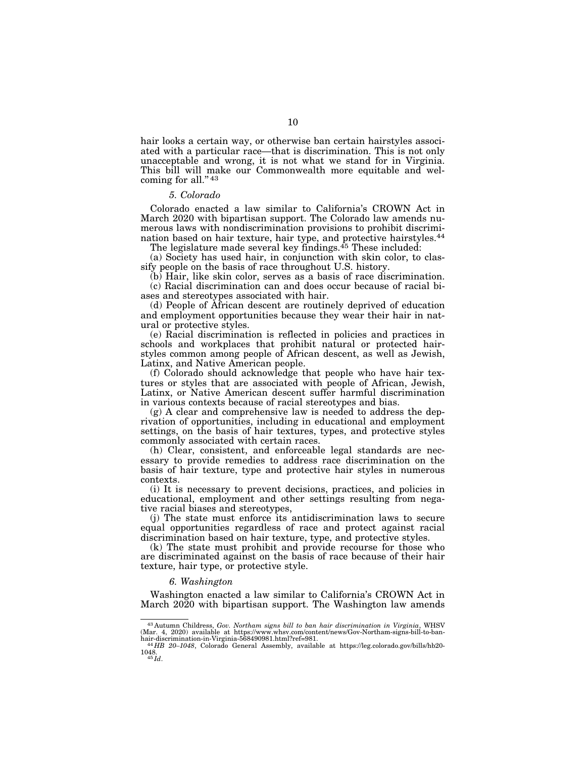hair looks a certain way, or otherwise ban certain hairstyles associated with a particular race—that is discrimination. This is not only unacceptable and wrong, it is not what we stand for in Virginia. This bill will make our Commonwealth more equitable and welcoming for all." 43

# *5. Colorado*

Colorado enacted a law similar to California's CROWN Act in March 2020 with bipartisan support. The Colorado law amends numerous laws with nondiscrimination provisions to prohibit discrimination based on hair texture, hair type, and protective hairstyles.44 The legislature made several key findings.<sup>45</sup> These included:

(a) Society has used hair, in conjunction with skin color, to classify people on the basis of race throughout U.S. history.

(b) Hair, like skin color, serves as a basis of race discrimination. (c) Racial discrimination can and does occur because of racial biases and stereotypes associated with hair.

(d) People of African descent are routinely deprived of education and employment opportunities because they wear their hair in natural or protective styles.

(e) Racial discrimination is reflected in policies and practices in schools and workplaces that prohibit natural or protected hairstyles common among people of African descent, as well as Jewish, Latinx, and Native American people.

(f) Colorado should acknowledge that people who have hair textures or styles that are associated with people of African, Jewish, Latinx, or Native American descent suffer harmful discrimination in various contexts because of racial stereotypes and bias.

(g) A clear and comprehensive law is needed to address the deprivation of opportunities, including in educational and employment settings, on the basis of hair textures, types, and protective styles commonly associated with certain races.

(h) Clear, consistent, and enforceable legal standards are necessary to provide remedies to address race discrimination on the basis of hair texture, type and protective hair styles in numerous contexts.

(i) It is necessary to prevent decisions, practices, and policies in educational, employment and other settings resulting from negative racial biases and stereotypes,

(j) The state must enforce its antidiscrimination laws to secure equal opportunities regardless of race and protect against racial discrimination based on hair texture, type, and protective styles.

(k) The state must prohibit and provide recourse for those who are discriminated against on the basis of race because of their hair texture, hair type, or protective style.

#### *6. Washington*

Washington enacted a law similar to California's CROWN Act in March 2020 with bipartisan support. The Washington law amends

<sup>&</sup>lt;sup>43</sup> Autumn Childress, *Gov. Northam signs bill to ban hair discrimination in Virginia*, WHSV (Mar. 4, 2020) available at https://www.whsv.com/content/news/Gov-Northam-signs-bill-to-ban-hair-discrimination-in-Virginia-568

 $^{44}HB$ 20–1048, Colorado General Assembly, available at https://leg.colorado.gov/bills/hb20-1048.  $^{45}Id.$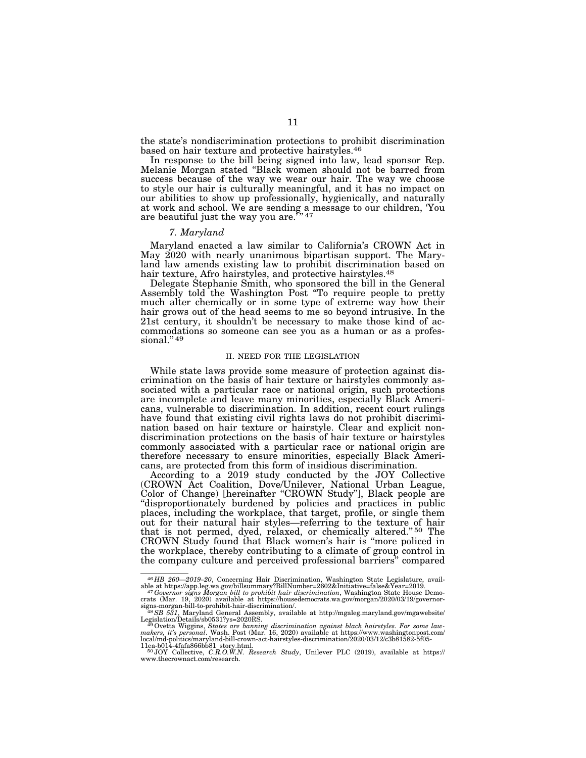the state's nondiscrimination protections to prohibit discrimination based on hair texture and protective hairstyles.46

In response to the bill being signed into law, lead sponsor Rep. Melanie Morgan stated ''Black women should not be barred from success because of the way we wear our hair. The way we choose to style our hair is culturally meaningful, and it has no impact on our abilities to show up professionally, hygienically, and naturally at work and school. We are sending a message to our children, You are heautiful just the way you are.<sup>747</sup> are beautiful just the way you are. $\frac{1}{2}$ 

# *7. Maryland*

Maryland enacted a law similar to California's CROWN Act in May 2020 with nearly unanimous bipartisan support. The Maryland law amends existing law to prohibit discrimination based on hair texture, Afro hairstyles, and protective hairstyles.<sup>48</sup>

Delegate Stephanie Smith, who sponsored the bill in the General Assembly told the Washington Post ''To require people to pretty much alter chemically or in some type of extreme way how their hair grows out of the head seems to me so beyond intrusive. In the 21st century, it shouldn't be necessary to make those kind of accommodations so someone can see you as a human or as a professional." 49

#### II. NEED FOR THE LEGISLATION

While state laws provide some measure of protection against discrimination on the basis of hair texture or hairstyles commonly associated with a particular race or national origin, such protections are incomplete and leave many minorities, especially Black Americans, vulnerable to discrimination. In addition, recent court rulings have found that existing civil rights laws do not prohibit discrimination based on hair texture or hairstyle. Clear and explicit nondiscrimination protections on the basis of hair texture or hairstyles commonly associated with a particular race or national origin are therefore necessary to ensure minorities, especially Black Americans, are protected from this form of insidious discrimination.

According to a 2019 study conducted by the JOY Collective (CROWN Act Coalition, Dove/Unilever, National Urban League, Color of Change) [hereinafter ''CROWN Study''], Black people are ''disproportionately burdened by policies and practices in public places, including the workplace, that target, profile, or single them out for their natural hair styles—referring to the texture of hair that is not permed, dyed, relaxed, or chemically altered."<sup>50</sup> The CROWN Study found that Black women's hair is ''more policed in the workplace, thereby contributing to a climate of group control in the company culture and perceived professional barriers'' compared

 $^{46}HB$  260—2019–20, Concerning Hair Discrimination, Washington State Legislature, available at https://app.leg.wa.gov/billsummary?BillNumber=2602&Initiative=false&Year=2019.<br>  $^{47}Governor signal$  signs  $Morgan bily$  to prohibit hair dis

signs-morgan-bill-to-prohibit-hair-discrimination/. 48*SB 531*, Maryland General Assembly, available at http://mgaleg.maryland.gov/mgawebsite/

Legislation/Details/sb0531?ys=2020RS.<br><sup>49</sup> Ovetta Wiggins, *States are banning discrimination against black hairstyles. For some law-<br>makers, it's personal. Wash. Post (Mar. 16, 2020) available at https://www.washingtonpos* 11ea-b014-4fafa866bb81\_story.html. 50 JOY Collective, *C.R.O.W.N. Research Study*, Unilever PLC (2019), available at https://

www.thecrownact.com/research.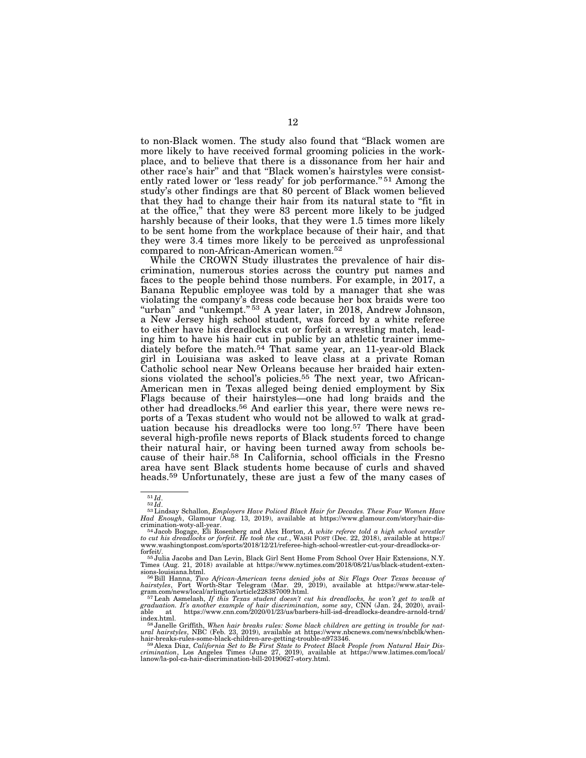to non-Black women. The study also found that ''Black women are more likely to have received formal grooming policies in the workplace, and to believe that there is a dissonance from her hair and other race's hair'' and that ''Black women's hairstyles were consistently rated lower or 'less ready' for job performance."<sup>51</sup> Among the study's other findings are that 80 percent of Black women believed that they had to change their hair from its natural state to ''fit in at the office,'' that they were 83 percent more likely to be judged harshly because of their looks, that they were 1.5 times more likely to be sent home from the workplace because of their hair, and that they were 3.4 times more likely to be perceived as unprofessional compared to non-African-American women.52

While the CROWN Study illustrates the prevalence of hair discrimination, numerous stories across the country put names and faces to the people behind those numbers. For example, in 2017, a Banana Republic employee was told by a manager that she was violating the company's dress code because her box braids were too "urban" and "unkempt."<sup>53</sup> A year later, in 2018, Andrew Johnson, a New Jersey high school student, was forced by a white referee to either have his dreadlocks cut or forfeit a wrestling match, leading him to have his hair cut in public by an athletic trainer immediately before the match.54 That same year, an 11-year-old Black girl in Louisiana was asked to leave class at a private Roman Catholic school near New Orleans because her braided hair extensions violated the school's policies.<sup>55</sup> The next year, two African-American men in Texas alleged being denied employment by Six Flags because of their hairstyles—one had long braids and the other had dreadlocks.56 And earlier this year, there were news reports of a Texas student who would not be allowed to walk at graduation because his dreadlocks were too long.<sup>57</sup> There have been several high-profile news reports of Black students forced to change their natural hair, or having been turned away from schools because of their hair.58 In California, school officials in the Fresno area have sent Black students home because of curls and shaved heads.59 Unfortunately, these are just a few of the many cases of

<sup>51</sup> *Id*. 52 *Id*. 53Lindsay Schallon, *Employers Have Policed Black Hair for Decades. These Four Women Have Had Enough*, Glamour (Aug. 13, 2019), available at https://www.glamour.com/story/hair-dis-

crimination-woty-all-year.<br><sup>54</sup> Jacob Bogage, Eli Rosenberg and Alex Horton, *A white referee told a high school wrestler*<br>to cut his dreadlocks or forfeit. He took the cut., WASH POST (Dec. 22, 2018), available at https:/ www.washingtonpost.com/sports/2018/12/21/referee-high-school-wrestler-cut-your-dreadlocks-or-

forfeit/. 55 Julia Jacobs and Dan Levin, Black Girl Sent Home From School Over Hair Extensions, N.Y. Times (Aug. 21, 2018) available at https://www.nytimes.com/2018/08/21/us/black-student-exten-

sions-louisiana.html.<br>
<sup>56</sup>Bill Hanna, *Two African-American teens denied jobs at Six Flags Over Texas because of<br>
hairstyles, Fort Worth-Star Telegram (Mar. 29, 2019), available at https://www.star-tele-<br>
gram.com/news/lo* 

index.html.<br>
<sup>58</sup> Janelle Griffith, *When hair breaks rules:* Some black children are getting in trouble for nat-<br>
<sup>58</sup> Janelle Griffith, *When hair breaks rules://www.nbenews.com/news/nbcblk/when-<br>
hair-breaks-rules-some-*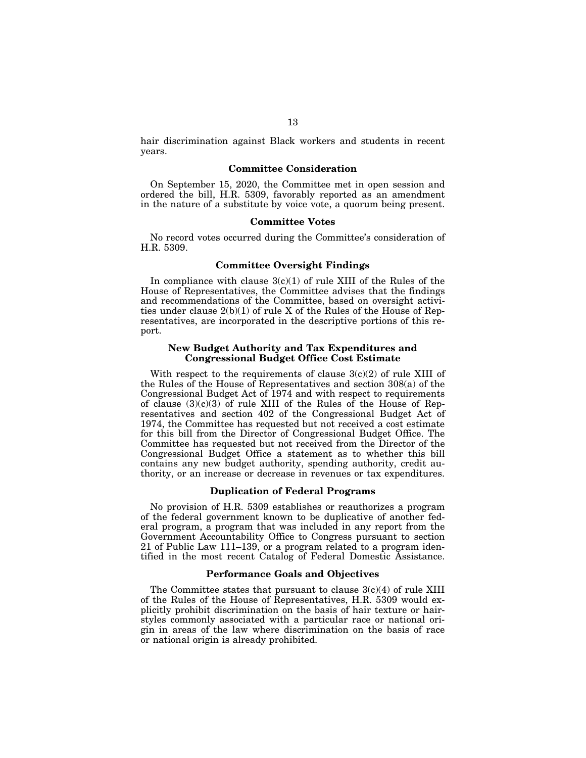hair discrimination against Black workers and students in recent years.

# **Committee Consideration**

On September 15, 2020, the Committee met in open session and ordered the bill, H.R. 5309, favorably reported as an amendment in the nature of a substitute by voice vote, a quorum being present.

### **Committee Votes**

No record votes occurred during the Committee's consideration of H.R. 5309.

# **Committee Oversight Findings**

In compliance with clause  $3(c)(1)$  of rule XIII of the Rules of the House of Representatives, the Committee advises that the findings and recommendations of the Committee, based on oversight activities under clause 2(b)(1) of rule X of the Rules of the House of Representatives, are incorporated in the descriptive portions of this report.

# **New Budget Authority and Tax Expenditures and Congressional Budget Office Cost Estimate**

With respect to the requirements of clause  $3(c)(2)$  of rule XIII of the Rules of the House of Representatives and section 308(a) of the Congressional Budget Act of 1974 and with respect to requirements of clause  $(3)(c)(3)$  of rule XIII of the Rules of the House of Representatives and section 402 of the Congressional Budget Act of 1974, the Committee has requested but not received a cost estimate for this bill from the Director of Congressional Budget Office. The Committee has requested but not received from the Director of the Congressional Budget Office a statement as to whether this bill contains any new budget authority, spending authority, credit authority, or an increase or decrease in revenues or tax expenditures.

# **Duplication of Federal Programs**

No provision of H.R. 5309 establishes or reauthorizes a program of the federal government known to be duplicative of another federal program, a program that was included in any report from the Government Accountability Office to Congress pursuant to section 21 of Public Law 111–139, or a program related to a program identified in the most recent Catalog of Federal Domestic Assistance.

# **Performance Goals and Objectives**

The Committee states that pursuant to clause  $3(c)(4)$  of rule XIII of the Rules of the House of Representatives, H.R. 5309 would explicitly prohibit discrimination on the basis of hair texture or hairstyles commonly associated with a particular race or national origin in areas of the law where discrimination on the basis of race or national origin is already prohibited.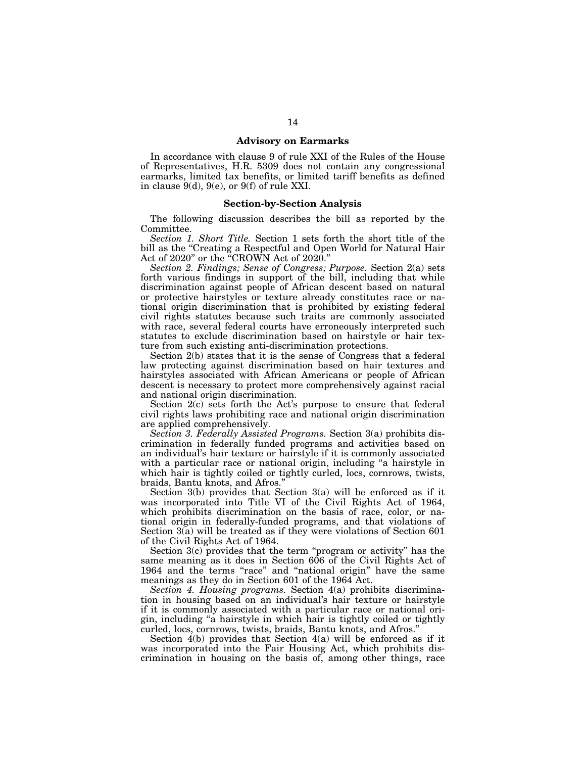# **Advisory on Earmarks**

In accordance with clause 9 of rule XXI of the Rules of the House of Representatives, H.R. 5309 does not contain any congressional earmarks, limited tax benefits, or limited tariff benefits as defined in clause 9(d), 9(e), or 9(f) of rule XXI.

### **Section-by-Section Analysis**

The following discussion describes the bill as reported by the Committee.

*Section 1. Short Title.* Section 1 sets forth the short title of the bill as the ''Creating a Respectful and Open World for Natural Hair Act of 2020'' or the ''CROWN Act of 2020.''

*Section 2. Findings; Sense of Congress; Purpose.* Section 2(a) sets forth various findings in support of the bill, including that while discrimination against people of African descent based on natural or protective hairstyles or texture already constitutes race or national origin discrimination that is prohibited by existing federal civil rights statutes because such traits are commonly associated with race, several federal courts have erroneously interpreted such statutes to exclude discrimination based on hairstyle or hair texture from such existing anti-discrimination protections.

Section 2(b) states that it is the sense of Congress that a federal law protecting against discrimination based on hair textures and hairstyles associated with African Americans or people of African descent is necessary to protect more comprehensively against racial and national origin discrimination.

Section 2(c) sets forth the Act's purpose to ensure that federal civil rights laws prohibiting race and national origin discrimination are applied comprehensively.

*Section 3. Federally Assisted Programs.* Section 3(a) prohibits discrimination in federally funded programs and activities based on an individual's hair texture or hairstyle if it is commonly associated with a particular race or national origin, including "a hairstyle in which hair is tightly coiled or tightly curled, locs, cornrows, twists, braids, Bantu knots, and Afros.''

Section 3(b) provides that Section 3(a) will be enforced as if it was incorporated into Title VI of the Civil Rights Act of 1964, which prohibits discrimination on the basis of race, color, or national origin in federally-funded programs, and that violations of Section 3(a) will be treated as if they were violations of Section 601 of the Civil Rights Act of 1964.

Section 3(c) provides that the term "program or activity" has the same meaning as it does in Section 606 of the Civil Rights Act of 1964 and the terms "race" and "national origin" have the same meanings as they do in Section 601 of the 1964 Act.

*Section 4. Housing programs.* Section 4(a) prohibits discrimination in housing based on an individual's hair texture or hairstyle if it is commonly associated with a particular race or national origin, including ''a hairstyle in which hair is tightly coiled or tightly curled, locs, cornrows, twists, braids, Bantu knots, and Afros.''

Section 4(b) provides that Section 4(a) will be enforced as if it was incorporated into the Fair Housing Act, which prohibits discrimination in housing on the basis of, among other things, race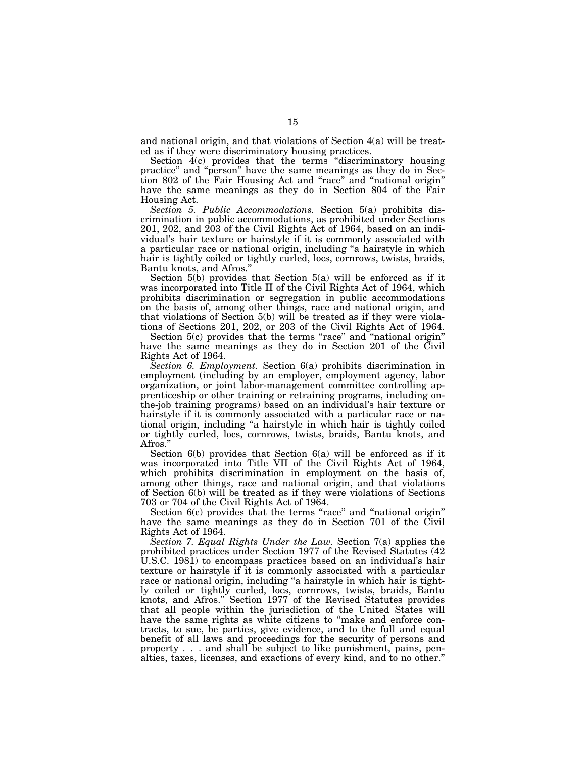and national origin, and that violations of Section 4(a) will be treated as if they were discriminatory housing practices.

Section 4(c) provides that the terms "discriminatory housing practice'' and ''person'' have the same meanings as they do in Section 802 of the Fair Housing Act and ''race'' and ''national origin'' have the same meanings as they do in Section 804 of the Fair Housing Act.

*Section 5. Public Accommodations.* Section 5(a) prohibits discrimination in public accommodations, as prohibited under Sections 201, 202, and 203 of the Civil Rights Act of 1964, based on an individual's hair texture or hairstyle if it is commonly associated with a particular race or national origin, including ''a hairstyle in which hair is tightly coiled or tightly curled, locs, cornrows, twists, braids, Bantu knots, and Afros.''

Section 5(b) provides that Section 5(a) will be enforced as if it was incorporated into Title II of the Civil Rights Act of 1964, which prohibits discrimination or segregation in public accommodations on the basis of, among other things, race and national origin, and that violations of Section 5(b) will be treated as if they were violations of Sections 201, 202, or 203 of the Civil Rights Act of 1964.

Section 5(c) provides that the terms "race" and "national origin" have the same meanings as they do in Section 201 of the Civil Rights Act of 1964.

*Section 6. Employment.* Section 6(a) prohibits discrimination in employment (including by an employer, employment agency, labor organization, or joint labor-management committee controlling apprenticeship or other training or retraining programs, including onthe-job training programs) based on an individual's hair texture or hairstyle if it is commonly associated with a particular race or national origin, including ''a hairstyle in which hair is tightly coiled or tightly curled, locs, cornrows, twists, braids, Bantu knots, and Afros."

Section 6(b) provides that Section 6(a) will be enforced as if it was incorporated into Title VII of the Civil Rights Act of 1964, which prohibits discrimination in employment on the basis of, among other things, race and national origin, and that violations of Section 6(b) will be treated as if they were violations of Sections 703 or 704 of the Civil Rights Act of 1964.

Section 6(c) provides that the terms "race" and "national origin" have the same meanings as they do in Section 701 of the Civil Rights Act of 1964.

*Section 7. Equal Rights Under the Law.* Section 7(a) applies the prohibited practices under Section 1977 of the Revised Statutes (42 U.S.C. 1981) to encompass practices based on an individual's hair texture or hairstyle if it is commonly associated with a particular race or national origin, including ''a hairstyle in which hair is tightly coiled or tightly curled, locs, cornrows, twists, braids, Bantu knots, and Afros.'' Section 1977 of the Revised Statutes provides that all people within the jurisdiction of the United States will have the same rights as white citizens to "make and enforce contracts, to sue, be parties, give evidence, and to the full and equal benefit of all laws and proceedings for the security of persons and property . . . and shall be subject to like punishment, pains, penalties, taxes, licenses, and exactions of every kind, and to no other.''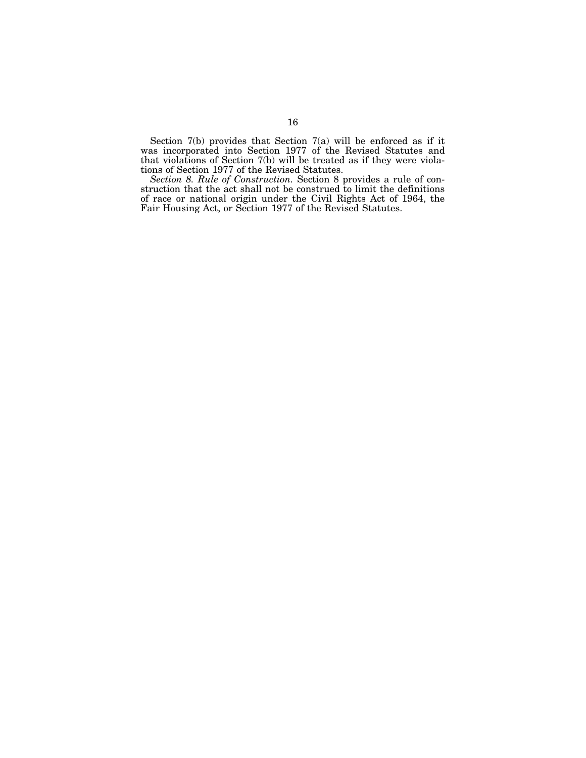Section 7(b) provides that Section 7(a) will be enforced as if it was incorporated into Section 1977 of the Revised Statutes and that violations of Section 7(b) will be treated as if they were violations of Section 1977 of the Revised Statutes.

*Section 8. Rule of Construction.* Section 8 provides a rule of construction that the act shall not be construed to limit the definitions of race or national origin under the Civil Rights Act of 1964, the Fair Housing Act, or Section 1977 of the Revised Statutes.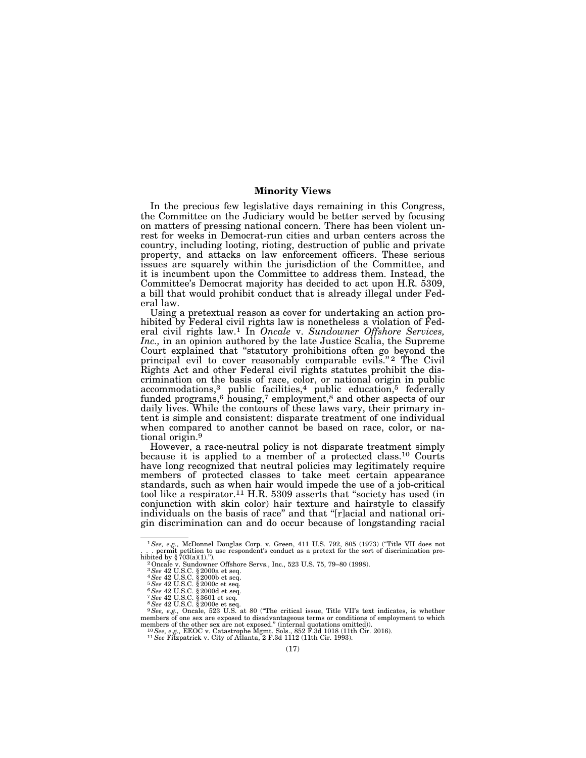#### **Minority Views**

In the precious few legislative days remaining in this Congress, the Committee on the Judiciary would be better served by focusing on matters of pressing national concern. There has been violent unrest for weeks in Democrat-run cities and urban centers across the country, including looting, rioting, destruction of public and private property, and attacks on law enforcement officers. These serious issues are squarely within the jurisdiction of the Committee, and it is incumbent upon the Committee to address them. Instead, the Committee's Democrat majority has decided to act upon H.R. 5309, a bill that would prohibit conduct that is already illegal under Federal law.

Using a pretextual reason as cover for undertaking an action prohibited by Federal civil rights law is nonetheless a violation of Federal civil rights law.1 In *Oncale* v. *Sundowner Offshore Services, Inc.,* in an opinion authored by the late Justice Scalia, the Supreme Court explained that ''statutory prohibitions often go beyond the principal evil to cover reasonably comparable evils."<sup>2</sup> The Civil Rights Act and other Federal civil rights statutes prohibit the discrimination on the basis of race, color, or national origin in public accommodations,<sup>3</sup> public facilities,<sup>4</sup> public education,<sup>5</sup> federally funded programs,<sup>6</sup> housing,<sup>7</sup> employment,<sup>8</sup> and other aspects of our daily lives. While the contours of these laws vary, their primary intent is simple and consistent: disparate treatment of one individual when compared to another cannot be based on race, color, or national origin.9

However, a race-neutral policy is not disparate treatment simply because it is applied to a member of a protected class.10 Courts have long recognized that neutral policies may legitimately require members of protected classes to take meet certain appearance standards, such as when hair would impede the use of a job-critical tool like a respirator.<sup>11</sup> H.R. 5309 asserts that "society has used (in conjunction with skin color) hair texture and hairstyle to classify individuals on the basis of race'' and that ''[r]acial and national origin discrimination can and do occur because of longstanding racial

<sup>1</sup>*See, e.g.,* McDonnel Douglas Corp. v. Green, 411 U.S. 792, 805 (1973) (''Title VII does not . . . permit petition to use respondent's conduct as a pretext for the sort of discrimination pro-<br>hibited by § 703(a)(1).'').<br><sup>2</sup> Oncale v. Sundowner Offshore Servs., Inc., 523 U.S. 75, 79–80 (1998).

<sup>&</sup>lt;sup>3</sup> See 42 U.S.C. § 2000a et seq.<br>  $^4$  See 42 U.S.C. § 2000b et seq.<br>  $^5$  See 42 U.S.C. § 2000b et seq.<br>  $^6$  See 42 U.S.C. § 2000d et seq.<br>  $^7$  See 42 U.S.C. § 2000e et seq.<br>  $^7$  See 42 U.S.C. § 2000e et seq.<br>  $^8$  S